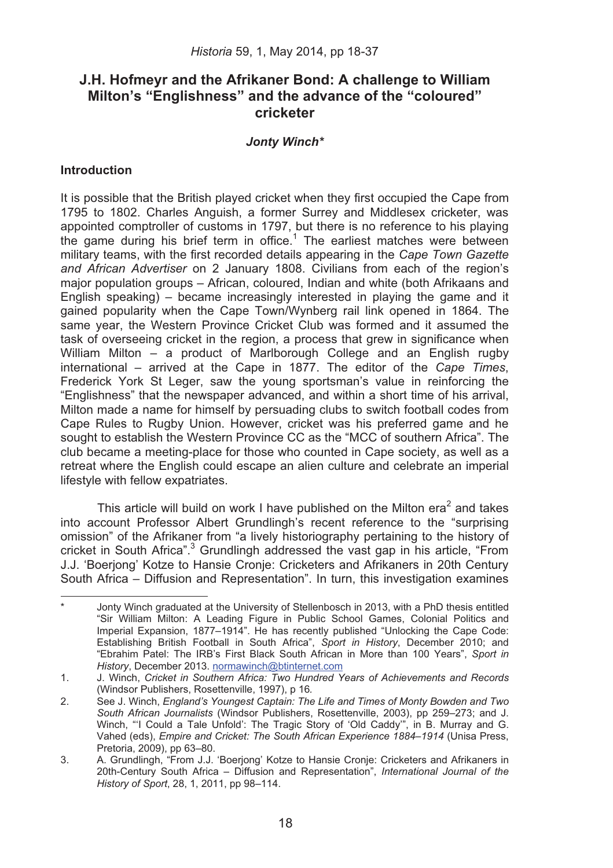# **J.H. Hofmeyr and the Afrikaner Bond: A challenge to William Milton's "Englishness" and the advance of the "coloured" cricketer**

## *Jonty Winch\**

## **Introduction**

.

It is possible that the British played cricket when they first occupied the Cape from 1795 to 1802. Charles Anguish, a former Surrey and Middlesex cricketer, was appointed comptroller of customs in 1797, but there is no reference to his playing the game during his brief term in office.<sup>1</sup> The earliest matches were between military teams, with the first recorded details appearing in the *Cape Town Gazette and African Advertiser* on 2 January 1808. Civilians from each of the region's major population groups – African, coloured, Indian and white (both Afrikaans and English speaking) – became increasingly interested in playing the game and it gained popularity when the Cape Town/Wynberg rail link opened in 1864. The same year, the Western Province Cricket Club was formed and it assumed the task of overseeing cricket in the region, a process that grew in significance when William Milton – a product of Marlborough College and an English rugby international – arrived at the Cape in 1877. The editor of the *Cape Times*, Frederick York St Leger, saw the young sportsman's value in reinforcing the "Englishness" that the newspaper advanced, and within a short time of his arrival, Milton made a name for himself by persuading clubs to switch football codes from Cape Rules to Rugby Union. However, cricket was his preferred game and he sought to establish the Western Province CC as the "MCC of southern Africa". The club became a meeting-place for those who counted in Cape society, as well as a retreat where the English could escape an alien culture and celebrate an imperial lifestyle with fellow expatriates.

This article will build on work I have published on the Milton era<sup>2</sup> and takes into account Professor Albert Grundlingh's recent reference to the "surprising omission" of the Afrikaner from "a lively historiography pertaining to the history of cricket in South Africa".<sup>3</sup> Grundlingh addressed the vast gap in his article, "From J.J. 'Boerjong' Kotze to Hansie Cronje: Cricketers and Afrikaners in 20th Century South Africa – Diffusion and Representation". In turn, this investigation examines

Jonty Winch graduated at the University of Stellenbosch in 2013, with a PhD thesis entitled "Sir William Milton: A Leading Figure in Public School Games, Colonial Politics and Imperial Expansion, 1877–1914". He has recently published "Unlocking the Cape Code: Establishing British Football in South Africa", *Sport in History*, December 2010; and "Ebrahim Patel: The IRB's First Black South African in More than 100 Years", *Sport in History*, December 2013. normawinch@btinternet.com

<sup>1.</sup> J. Winch, *Cricket in Southern Africa: Two Hundred Years of Achievements and Records* (Windsor Publishers, Rosettenville, 1997), p 16*.*

<sup>2.</sup> See J. Winch, *England's Youngest Captain: The Life and Times of Monty Bowden and Two South African Journalists* (Windsor Publishers, Rosettenville, 2003), pp 259–273; and J. Winch, "'I Could a Tale Unfold': The Tragic Story of 'Old Caddy'", in B. Murray and G. Vahed (eds), *Empire and Cricket: The South African Experience 1884*–*1914* (Unisa Press, Pretoria, 2009), pp 63–80.

<sup>3.</sup> A. Grundlingh, "From J.J. 'Boerjong' Kotze to Hansie Cronje: Cricketers and Afrikaners in 20th-Century South Africa – Diffusion and Representation", *International Journal of the History of Sport*, 28, 1, 2011, pp 98–114.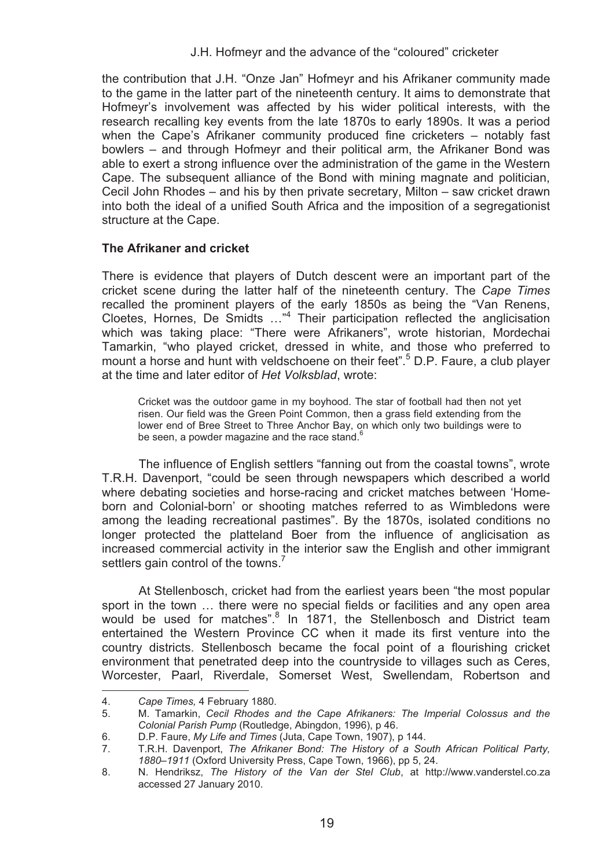the contribution that J.H. "Onze Jan" Hofmeyr and his Afrikaner community made to the game in the latter part of the nineteenth century. It aims to demonstrate that Hofmeyr's involvement was affected by his wider political interests, with the research recalling key events from the late 1870s to early 1890s. It was a period when the Cape's Afrikaner community produced fine cricketers – notably fast bowlers – and through Hofmeyr and their political arm, the Afrikaner Bond was able to exert a strong influence over the administration of the game in the Western Cape. The subsequent alliance of the Bond with mining magnate and politician, Cecil John Rhodes – and his by then private secretary, Milton – saw cricket drawn into both the ideal of a unified South Africa and the imposition of a segregationist structure at the Cape.

## **The Afrikaner and cricket**

There is evidence that players of Dutch descent were an important part of the cricket scene during the latter half of the nineteenth century. The *Cape Times* recalled the prominent players of the early 1850s as being the "Van Renens, Cloetes, Hornes, De Smidts …"<sup>4</sup> Their participation reflected the anglicisation which was taking place: "There were Afrikaners", wrote historian, Mordechai Tamarkin, "who played cricket, dressed in white, and those who preferred to mount a horse and hunt with veldschoene on their feet".<sup>5</sup> D.P. Faure, a club player at the time and later editor of *Het Volksblad*, wrote:

Cricket was the outdoor game in my boyhood. The star of football had then not yet risen. Our field was the Green Point Common, then a grass field extending from the lower end of Bree Street to Three Anchor Bay, on which only two buildings were to be seen, a powder magazine and the race stand.<sup>6</sup>

The influence of English settlers "fanning out from the coastal towns", wrote T.R.H. Davenport, "could be seen through newspapers which described a world where debating societies and horse-racing and cricket matches between 'Homeborn and Colonial-born' or shooting matches referred to as Wimbledons were among the leading recreational pastimes". By the 1870s, isolated conditions no longer protected the platteland Boer from the influence of anglicisation as increased commercial activity in the interior saw the English and other immigrant settlers gain control of the towns.<sup>7</sup>

At Stellenbosch, cricket had from the earliest years been "the most popular sport in the town … there were no special fields or facilities and any open area would be used for matches".<sup>8</sup> In 1871, the Stellenbosch and District team entertained the Western Province CC when it made its first venture into the country districts. Stellenbosch became the focal point of a flourishing cricket environment that penetrated deep into the countryside to villages such as Ceres, Worcester, Paarl, Riverdale, Somerset West, Swellendam, Robertson and l

<sup>4.</sup> *Cape Times, 4 February 1880.*<br>5. M. Tamarkin. *Cecil Rhodes a* 

<sup>5.</sup> M. Tamarkin, *Cecil Rhodes and the Cape Afrikaners: The Imperial Colossus and the Colonial Parish Pump* (Routledge, Abingdon, 1996), p 46.

<sup>6.</sup> D.P. Faure, *My Life and Times* (Juta, Cape Town, 1907), p 144.

<sup>7.</sup> T.R.H. Davenport, *The Afrikaner Bond: The History of a South African Political Party, 1880*–*1911* (Oxford University Press, Cape Town, 1966), pp 5, 24.

<sup>8.</sup> N. Hendriksz, *The History of the Van der Stel Club*, at http://www.vanderstel.co.za accessed 27 January 2010.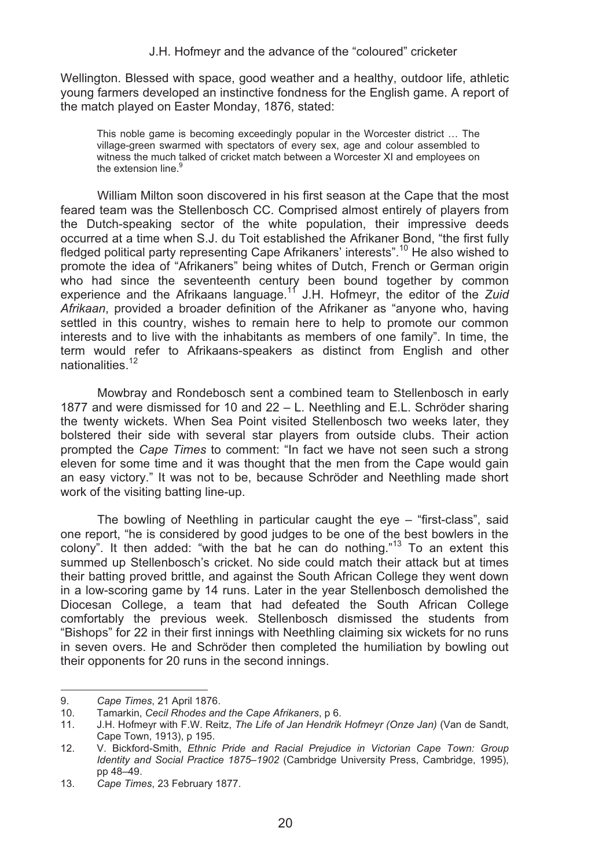Wellington. Blessed with space, good weather and a healthy, outdoor life, athletic young farmers developed an instinctive fondness for the English game. A report of the match played on Easter Monday, 1876, stated:

This noble game is becoming exceedingly popular in the Worcester district … The village-green swarmed with spectators of every sex, age and colour assembled to witness the much talked of cricket match between a Worcester XI and employees on the extension line.<sup>9</sup>

William Milton soon discovered in his first season at the Cape that the most feared team was the Stellenbosch CC. Comprised almost entirely of players from the Dutch-speaking sector of the white population, their impressive deeds occurred at a time when S.J. du Toit established the Afrikaner Bond, "the first fully fledged political party representing Cape Afrikaners' interests".<sup>10</sup> He also wished to promote the idea of "Afrikaners" being whites of Dutch, French or German origin who had since the seventeenth century been bound together by common experience and the Afrikaans language.11 J.H. Hofmeyr, the editor of the *Zuid Afrikaan*, provided a broader definition of the Afrikaner as "anyone who, having settled in this country, wishes to remain here to help to promote our common interests and to live with the inhabitants as members of one family". In time, the term would refer to Afrikaans-speakers as distinct from English and other nationalities.<sup>12</sup>

Mowbray and Rondebosch sent a combined team to Stellenbosch in early 1877 and were dismissed for 10 and 22 – L. Neethling and E.L. Schröder sharing the twenty wickets. When Sea Point visited Stellenbosch two weeks later, they bolstered their side with several star players from outside clubs. Their action prompted the *Cape Times* to comment: "In fact we have not seen such a strong eleven for some time and it was thought that the men from the Cape would gain an easy victory." It was not to be, because Schröder and Neethling made short work of the visiting batting line-up.

The bowling of Neethling in particular caught the eye – "first-class", said one report, "he is considered by good judges to be one of the best bowlers in the colony". It then added: "with the bat he can do nothing."<sup>13</sup> To an extent this summed up Stellenbosch's cricket. No side could match their attack but at times their batting proved brittle, and against the South African College they went down in a low-scoring game by 14 runs. Later in the year Stellenbosch demolished the Diocesan College, a team that had defeated the South African College comfortably the previous week. Stellenbosch dismissed the students from "Bishops" for 22 in their first innings with Neethling claiming six wickets for no runs in seven overs. He and Schröder then completed the humiliation by bowling out their opponents for 20 runs in the second innings.

<sup>9.</sup> *Cape Times*, 21 April 1876.

<sup>10.</sup> Tamarkin, *Cecil Rhodes and the Cape Afrikaners*, p 6.

<sup>11.</sup> J.H. Hofmeyr with F.W. Reitz, *The Life of Jan Hendrik Hofmeyr (Onze Jan)* (Van de Sandt, Cape Town, 1913), p 195.

<sup>12.</sup> V. Bickford-Smith, *Ethnic Pride and Racial Prejudice in Victorian Cape Town: Group Identity and Social Practice 1875*–*1902* (Cambridge University Press, Cambridge, 1995), pp 48–49.

<sup>13.</sup> *Cape Times*, 23 February 1877.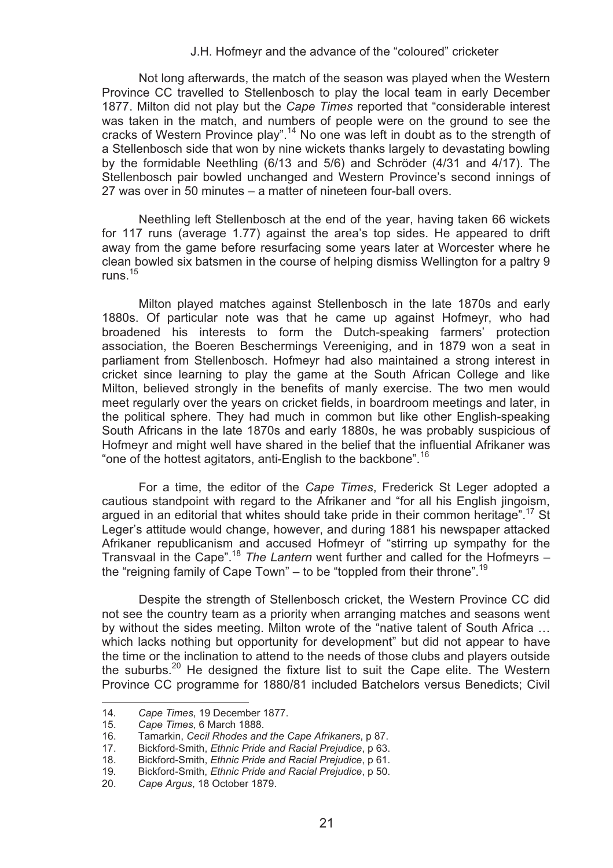Not long afterwards, the match of the season was played when the Western Province CC travelled to Stellenbosch to play the local team in early December 1877. Milton did not play but the *Cape Times* reported that "considerable interest was taken in the match, and numbers of people were on the ground to see the cracks of Western Province play".<sup>14</sup> No one was left in doubt as to the strength of a Stellenbosch side that won by nine wickets thanks largely to devastating bowling by the formidable Neethling (6/13 and 5/6) and Schröder (4/31 and 4/17). The Stellenbosch pair bowled unchanged and Western Province's second innings of 27 was over in 50 minutes – a matter of nineteen four-ball overs.

Neethling left Stellenbosch at the end of the year, having taken 66 wickets for 117 runs (average 1.77) against the area's top sides. He appeared to drift away from the game before resurfacing some years later at Worcester where he clean bowled six batsmen in the course of helping dismiss Wellington for a paltry 9 runs $15$ 

Milton played matches against Stellenbosch in the late 1870s and early 1880s. Of particular note was that he came up against Hofmeyr, who had broadened his interests to form the Dutch-speaking farmers' protection association, the Boeren Beschermings Vereeniging, and in 1879 won a seat in parliament from Stellenbosch. Hofmeyr had also maintained a strong interest in cricket since learning to play the game at the South African College and like Milton, believed strongly in the benefits of manly exercise. The two men would meet regularly over the years on cricket fields, in boardroom meetings and later, in the political sphere. They had much in common but like other English-speaking South Africans in the late 1870s and early 1880s, he was probably suspicious of Hofmeyr and might well have shared in the belief that the influential Afrikaner was "one of the hottest agitators, anti-English to the backbone".<sup>16</sup>

For a time, the editor of the *Cape Times*, Frederick St Leger adopted a cautious standpoint with regard to the Afrikaner and "for all his English jingoism, argued in an editorial that whites should take pride in their common heritage".17 St Leger's attitude would change, however, and during 1881 his newspaper attacked Afrikaner republicanism and accused Hofmeyr of "stirring up sympathy for the Transvaal in the Cape".18 *The Lantern* went further and called for the Hofmeyrs – the "reigning family of Cape Town" – to be "toppled from their throne".<sup>19</sup>

Despite the strength of Stellenbosch cricket, the Western Province CC did not see the country team as a priority when arranging matches and seasons went by without the sides meeting. Milton wrote of the "native talent of South Africa … which lacks nothing but opportunity for development" but did not appear to have the time or the inclination to attend to the needs of those clubs and players outside the suburbs.<sup>20</sup> He designed the fixture list to suit the Cape elite. The Western Province CC programme for 1880/81 included Batchelors versus Benedicts; Civil

֦

<sup>14</sup>*. Cape Times*, 19 December 1877.

<sup>15.</sup> *Cape Times*, 6 March 1888.

<sup>16.</sup> Tamarkin, *Cecil Rhodes and the Cape Afrikaners*, p 87.

<sup>17.</sup> Bickford-Smith, *Ethnic Pride and Racial Prejudice*, p 63.

<sup>18.</sup> Bickford-Smith, *Ethnic Pride and Racial Prejudice*, p 61.

<sup>19</sup>*.* Bickford-Smith, *Ethnic Pride and Racial Prejudice*, p 50.

<sup>20.</sup> *Cape Argus*, 18 October 1879.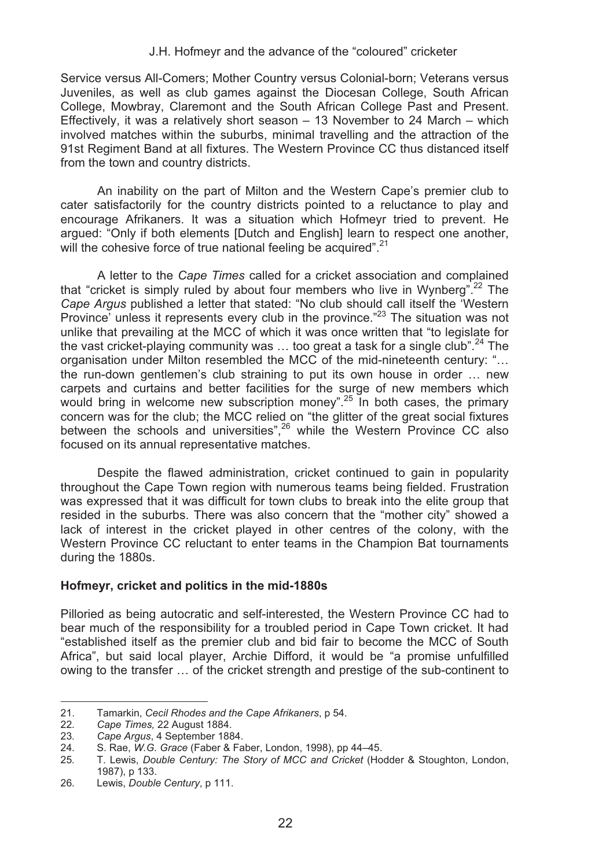Service versus All-Comers; Mother Country versus Colonial-born; Veterans versus Juveniles, as well as club games against the Diocesan College, South African College, Mowbray, Claremont and the South African College Past and Present. Effectively, it was a relatively short season – 13 November to 24 March – which involved matches within the suburbs, minimal travelling and the attraction of the 91st Regiment Band at all fixtures. The Western Province CC thus distanced itself from the town and country districts.

An inability on the part of Milton and the Western Cape's premier club to cater satisfactorily for the country districts pointed to a reluctance to play and encourage Afrikaners. It was a situation which Hofmeyr tried to prevent. He argued: "Only if both elements [Dutch and English] learn to respect one another, will the cohesive force of true national feeling be acquired".<sup>21</sup>

A letter to the *Cape Times* called for a cricket association and complained that "cricket is simply ruled by about four members who live in Wynberg".<sup>22</sup> The *Cape Argus* published a letter that stated: "No club should call itself the 'Western Province' unless it represents every club in the province."<sup>23</sup> The situation was not unlike that prevailing at the MCC of which it was once written that "to legislate for the vast cricket-playing community was ... too great a task for a single club".<sup>24</sup> The organisation under Milton resembled the MCC of the mid-nineteenth century: "… the run-down gentlemen's club straining to put its own house in order … new carpets and curtains and better facilities for the surge of new members which would bring in welcome new subscription money".<sup>25</sup> In both cases, the primary concern was for the club; the MCC relied on "the glitter of the great social fixtures between the schools and universities", $26$  while the Western Province CC also focused on its annual representative matches.

Despite the flawed administration, cricket continued to gain in popularity throughout the Cape Town region with numerous teams being fielded. Frustration was expressed that it was difficult for town clubs to break into the elite group that resided in the suburbs. There was also concern that the "mother city" showed a lack of interest in the cricket played in other centres of the colony, with the Western Province CC reluctant to enter teams in the Champion Bat tournaments during the 1880s.

## **Hofmeyr, cricket and politics in the mid-1880s**

Pilloried as being autocratic and self-interested, the Western Province CC had to bear much of the responsibility for a troubled period in Cape Town cricket. It had "established itself as the premier club and bid fair to become the MCC of South Africa", but said local player, Archie Difford, it would be "a promise unfulfilled owing to the transfer … of the cricket strength and prestige of the sub-continent to

<sup>21.</sup> Tamarkin, *Cecil Rhodes and the Cape Afrikaners*, p 54.

<sup>22</sup>*. Cape Times,* 22 August 1884.

<sup>23</sup>*. Cape Argus*, 4 September 1884.

<sup>24</sup>*.* S. Rae, *W.G. Grace* (Faber & Faber, London, 1998), pp 44–45.

<sup>25</sup>*.* T. Lewis, *Double Century: The Story of MCC and Cricket* (Hodder & Stoughton, London, 1987), p 133.

<sup>26</sup>*.* Lewis, *Double Century*, p 111.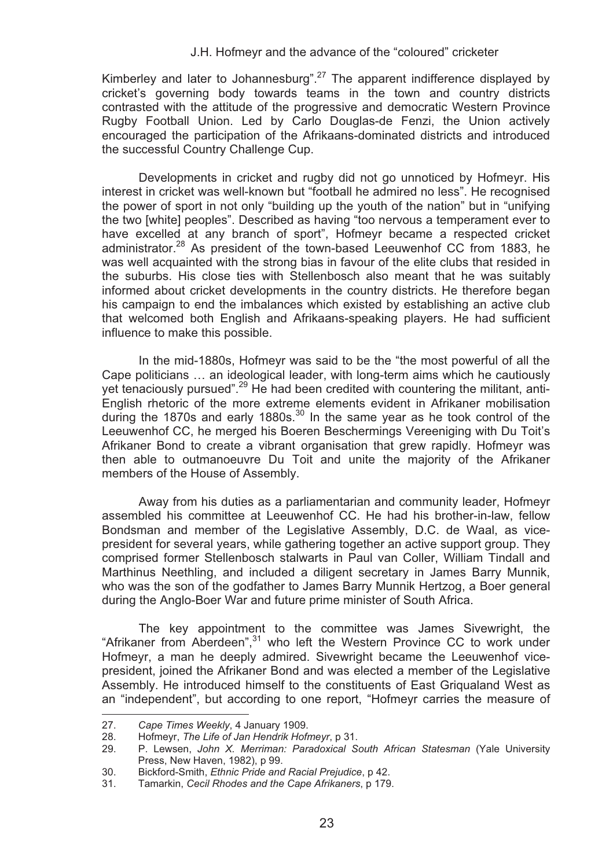Kimberley and later to Johannesburg".27 The apparent indifference displayed by cricket's governing body towards teams in the town and country districts contrasted with the attitude of the progressive and democratic Western Province Rugby Football Union. Led by Carlo Douglas-de Fenzi, the Union actively encouraged the participation of the Afrikaans-dominated districts and introduced the successful Country Challenge Cup.

Developments in cricket and rugby did not go unnoticed by Hofmeyr. His interest in cricket was well-known but "football he admired no less". He recognised the power of sport in not only "building up the youth of the nation" but in "unifying the two [white] peoples". Described as having "too nervous a temperament ever to have excelled at any branch of sport", Hofmeyr became a respected cricket administrator.<sup>28</sup> As president of the town-based Leeuwenhof CC from 1883, he was well acquainted with the strong bias in favour of the elite clubs that resided in the suburbs. His close ties with Stellenbosch also meant that he was suitably informed about cricket developments in the country districts. He therefore began his campaign to end the imbalances which existed by establishing an active club that welcomed both English and Afrikaans-speaking players. He had sufficient influence to make this possible.

In the mid-1880s, Hofmeyr was said to be the "the most powerful of all the Cape politicians … an ideological leader, with long-term aims which he cautiously yet tenaciously pursued".<sup>29</sup> He had been credited with countering the militant, anti-English rhetoric of the more extreme elements evident in Afrikaner mobilisation during the 1870s and early 1880s. $30$  In the same year as he took control of the Leeuwenhof CC, he merged his Boeren Beschermings Vereeniging with Du Toit's Afrikaner Bond to create a vibrant organisation that grew rapidly. Hofmeyr was then able to outmanoeuvre Du Toit and unite the majority of the Afrikaner members of the House of Assembly.

Away from his duties as a parliamentarian and community leader, Hofmeyr assembled his committee at Leeuwenhof CC. He had his brother-in-law, fellow Bondsman and member of the Legislative Assembly, D.C. de Waal, as vicepresident for several years, while gathering together an active support group. They comprised former Stellenbosch stalwarts in Paul van Coller, William Tindall and Marthinus Neethling, and included a diligent secretary in James Barry Munnik, who was the son of the godfather to James Barry Munnik Hertzog, a Boer general during the Anglo-Boer War and future prime minister of South Africa.

The key appointment to the committee was James Sivewright, the "Afrikaner from Aberdeen",<sup>31</sup> who left the Western Province CC to work under Hofmeyr, a man he deeply admired. Sivewright became the Leeuwenhof vicepresident, joined the Afrikaner Bond and was elected a member of the Legislative Assembly. He introduced himself to the constituents of East Griqualand West as an "independent", but according to one report, "Hofmeyr carries the measure of l

<sup>27.</sup> *Cape Times Weekly*, 4 January 1909.

<sup>28.</sup> Hofmeyr, *The Life of Jan Hendrik Hofmeyr*, p 31.

<sup>29.</sup> P. Lewsen, *John X. Merriman: Paradoxical South African Statesman* (Yale University Press, New Haven, 1982), p 99.

<sup>30.</sup> Bickford-Smith, *Ethnic Pride and Racial Prejudice*, p 42.

<sup>31.</sup> Tamarkin, *Cecil Rhodes and the Cape Afrikaners*, p 179.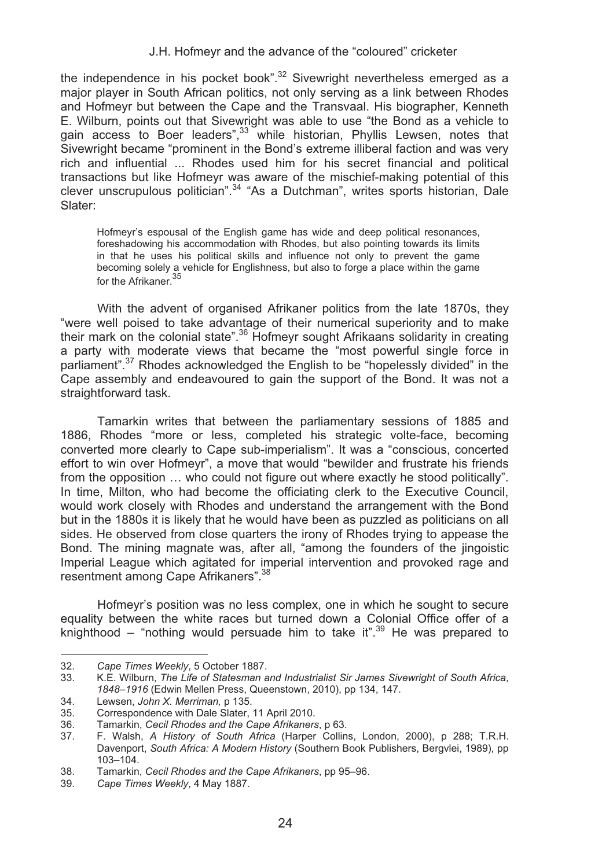the independence in his pocket book". $32$  Sivewright nevertheless emerged as a major player in South African politics, not only serving as a link between Rhodes and Hofmeyr but between the Cape and the Transvaal. His biographer, Kenneth E. Wilburn, points out that Sivewright was able to use "the Bond as a vehicle to gain access to Boer leaders<sup>", 33</sup> while historian, Phyllis Lewsen, notes that Sivewright became "prominent in the Bond's extreme illiberal faction and was very rich and influential ... Rhodes used him for his secret financial and political transactions but like Hofmeyr was aware of the mischief-making potential of this clever unscrupulous politician".34 "As a Dutchman", writes sports historian, Dale Slater:

Hofmeyr's espousal of the English game has wide and deep political resonances, foreshadowing his accommodation with Rhodes, but also pointing towards its limits in that he uses his political skills and influence not only to prevent the game becoming solely a vehicle for Englishness, but also to forge a place within the game for the Afrikaner.<sup>35</sup>

With the advent of organised Afrikaner politics from the late 1870s, they "were well poised to take advantage of their numerical superiority and to make their mark on the colonial state".<sup>36</sup> Hofmeyr sought Afrikaans solidarity in creating a party with moderate views that became the "most powerful single force in parliament".<sup>37</sup> Rhodes acknowledged the English to be "hopelessly divided" in the Cape assembly and endeavoured to gain the support of the Bond. It was not a straightforward task.

Tamarkin writes that between the parliamentary sessions of 1885 and 1886, Rhodes "more or less, completed his strategic volte-face, becoming converted more clearly to Cape sub-imperialism". It was a "conscious, concerted effort to win over Hofmeyr", a move that would "bewilder and frustrate his friends from the opposition … who could not figure out where exactly he stood politically". In time, Milton, who had become the officiating clerk to the Executive Council, would work closely with Rhodes and understand the arrangement with the Bond but in the 1880s it is likely that he would have been as puzzled as politicians on all sides. He observed from close quarters the irony of Rhodes trying to appease the Bond. The mining magnate was, after all, "among the founders of the jingoistic Imperial League which agitated for imperial intervention and provoked rage and resentment among Cape Afrikaners".<sup>38</sup>

Hofmeyr's position was no less complex, one in which he sought to secure equality between the white races but turned down a Colonial Office offer of a knighthood – "nothing would persuade him to take it".<sup>39</sup> He was prepared to

 $\overline{a}$ 

<sup>32.</sup> *Cape Times Weekly*, 5 October 1887.

<sup>33.</sup> K.E. Wilburn, *The Life of Statesman and Industrialist Sir James Sivewright of South Africa*, *1848*–*1916* (Edwin Mellen Press, Queenstown, 2010), pp 134, 147.

<sup>34.</sup> Lewsen, *John X. Merriman,* p 135.

<sup>35.</sup> Correspondence with Dale Slater, 11 April 2010.<br>36. Tamarkin, Cecil Rhodes and the Cape Afrikaners

<sup>36.</sup> Tamarkin, *Cecil Rhodes and the Cape Afrikaners*, p 63.

<sup>37.</sup> F. Walsh, *A History of South Africa* (Harper Collins, London, 2000), p 288; T.R.H. Davenport, *South Africa: A Modern History* (Southern Book Publishers, Bergvlei, 1989), pp 103–104.

<sup>38.</sup> Tamarkin, *Cecil Rhodes and the Cape Afrikaners*, pp 95–96.

<sup>39.</sup> *Cape Times Weekly*, 4 May 1887.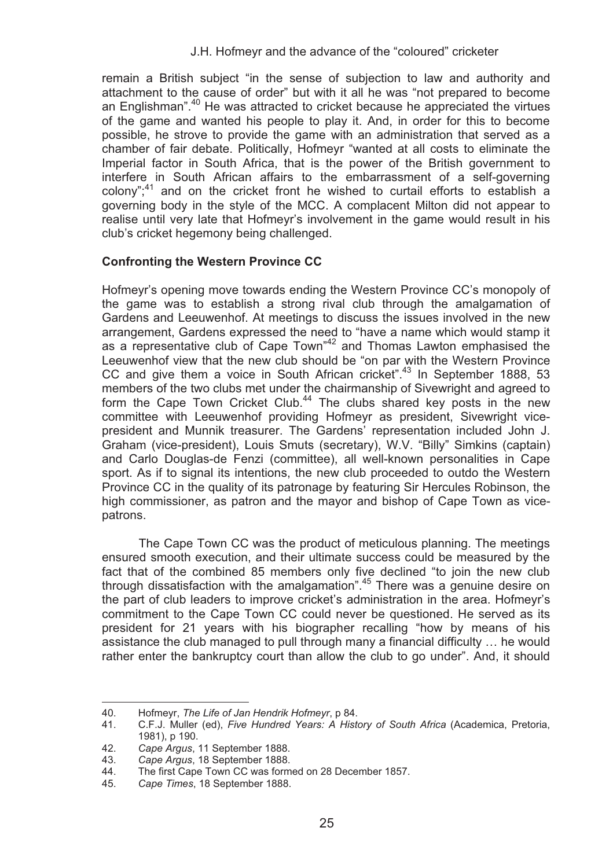remain a British subject "in the sense of subjection to law and authority and attachment to the cause of order" but with it all he was "not prepared to become an Englishman".<sup>40</sup> He was attracted to cricket because he appreciated the virtues of the game and wanted his people to play it. And, in order for this to become possible, he strove to provide the game with an administration that served as a chamber of fair debate. Politically, Hofmeyr "wanted at all costs to eliminate the Imperial factor in South Africa, that is the power of the British government to interfere in South African affairs to the embarrassment of a self-governing colony";<sup>41</sup> and on the cricket front he wished to curtail efforts to establish a governing body in the style of the MCC. A complacent Milton did not appear to realise until very late that Hofmeyr's involvement in the game would result in his club's cricket hegemony being challenged.

## **Confronting the Western Province CC**

Hofmeyr's opening move towards ending the Western Province CC's monopoly of the game was to establish a strong rival club through the amalgamation of Gardens and Leeuwenhof. At meetings to discuss the issues involved in the new arrangement, Gardens expressed the need to "have a name which would stamp it as a representative club of Cape Town"42 and Thomas Lawton emphasised the Leeuwenhof view that the new club should be "on par with the Western Province CC and give them a voice in South African cricket".<sup>43</sup> In September 1888, 53 members of the two clubs met under the chairmanship of Sivewright and agreed to form the Cape Town Cricket Club.<sup>44</sup> The clubs shared key posts in the new committee with Leeuwenhof providing Hofmeyr as president, Sivewright vicepresident and Munnik treasurer. The Gardens' representation included John J. Graham (vice-president), Louis Smuts (secretary), W.V. "Billy" Simkins (captain) and Carlo Douglas-de Fenzi (committee), all well-known personalities in Cape sport. As if to signal its intentions, the new club proceeded to outdo the Western Province CC in the quality of its patronage by featuring Sir Hercules Robinson, the high commissioner, as patron and the mayor and bishop of Cape Town as vicepatrons.

The Cape Town CC was the product of meticulous planning. The meetings ensured smooth execution, and their ultimate success could be measured by the fact that of the combined 85 members only five declined "to join the new club through dissatisfaction with the amalgamation".45 There was a genuine desire on the part of club leaders to improve cricket's administration in the area. Hofmeyr's commitment to the Cape Town CC could never be questioned. He served as its president for 21 years with his biographer recalling "how by means of his assistance the club managed to pull through many a financial difficulty … he would rather enter the bankruptcy court than allow the club to go under". And, it should

֦

<sup>40.</sup> Hofmeyr, *The Life of Jan Hendrik Hofmeyr*, p 84.

<sup>41.</sup> C.F.J. Muller (ed), *Five Hundred Years: A History of South Africa* (Academica, Pretoria, 1981), p 190.

<sup>42.</sup> *Cape Argus*, 11 September 1888.

<sup>43.</sup> *Cape Argus*, 18 September 1888.

The first Cape Town CC was formed on 28 December 1857.

<sup>45.</sup> *Cape Times*, 18 September 1888.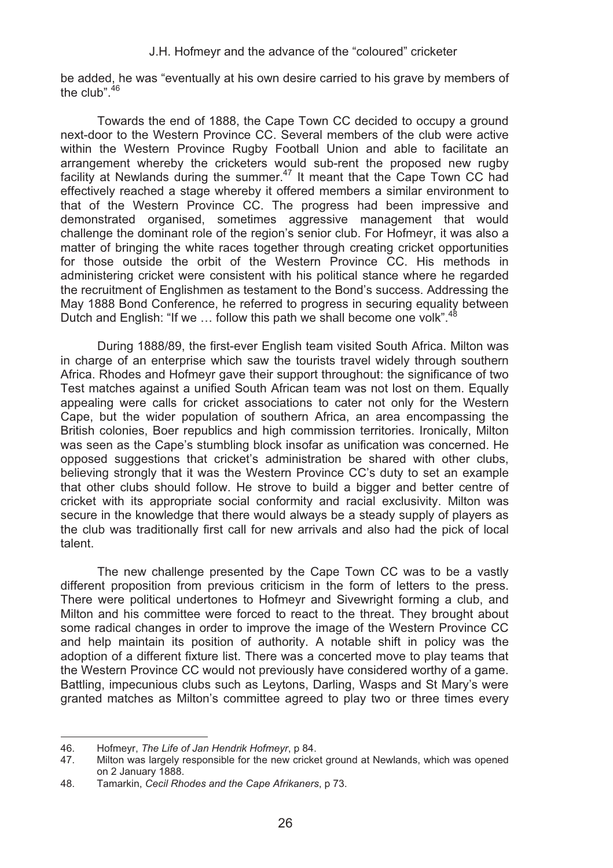be added, he was "eventually at his own desire carried to his grave by members of the club". $46$ 

Towards the end of 1888, the Cape Town CC decided to occupy a ground next-door to the Western Province CC. Several members of the club were active within the Western Province Rugby Football Union and able to facilitate an arrangement whereby the cricketers would sub-rent the proposed new rugby facility at Newlands during the summer.<sup>47</sup> It meant that the Cape Town CC had effectively reached a stage whereby it offered members a similar environment to that of the Western Province CC. The progress had been impressive and demonstrated organised, sometimes aggressive management that would challenge the dominant role of the region's senior club. For Hofmeyr, it was also a matter of bringing the white races together through creating cricket opportunities for those outside the orbit of the Western Province CC. His methods in administering cricket were consistent with his political stance where he regarded the recruitment of Englishmen as testament to the Bond's success. Addressing the May 1888 Bond Conference, he referred to progress in securing equality between Dutch and English: "If we  $\ldots$  follow this path we shall become one volk".<sup>48</sup>

During 1888/89, the first-ever English team visited South Africa. Milton was in charge of an enterprise which saw the tourists travel widely through southern Africa. Rhodes and Hofmeyr gave their support throughout: the significance of two Test matches against a unified South African team was not lost on them. Equally appealing were calls for cricket associations to cater not only for the Western Cape, but the wider population of southern Africa, an area encompassing the British colonies, Boer republics and high commission territories. Ironically, Milton was seen as the Cape's stumbling block insofar as unification was concerned. He opposed suggestions that cricket's administration be shared with other clubs, believing strongly that it was the Western Province CC's duty to set an example that other clubs should follow. He strove to build a bigger and better centre of cricket with its appropriate social conformity and racial exclusivity. Milton was secure in the knowledge that there would always be a steady supply of players as the club was traditionally first call for new arrivals and also had the pick of local talent.

The new challenge presented by the Cape Town CC was to be a vastly different proposition from previous criticism in the form of letters to the press. There were political undertones to Hofmeyr and Sivewright forming a club, and Milton and his committee were forced to react to the threat. They brought about some radical changes in order to improve the image of the Western Province CC and help maintain its position of authority. A notable shift in policy was the adoption of a different fixture list. There was a concerted move to play teams that the Western Province CC would not previously have considered worthy of a game. Battling, impecunious clubs such as Leytons, Darling, Wasps and St Mary's were granted matches as Milton's committee agreed to play two or three times every

 $\overline{a}$ 

<sup>46.</sup> Hofmeyr, *The Life of Jan Hendrik Hofmeyr*, p 84.

Milton was largely responsible for the new cricket ground at Newlands, which was opened on 2 January 1888.

<sup>48.</sup> Tamarkin, *Cecil Rhodes and the Cape Afrikaners*, p 73.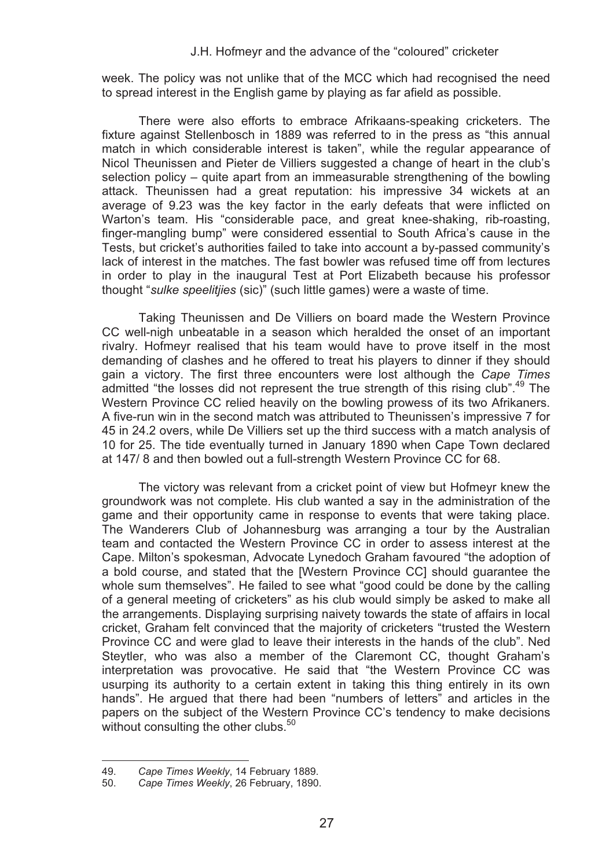week. The policy was not unlike that of the MCC which had recognised the need to spread interest in the English game by playing as far afield as possible.

There were also efforts to embrace Afrikaans-speaking cricketers. The fixture against Stellenbosch in 1889 was referred to in the press as "this annual match in which considerable interest is taken", while the regular appearance of Nicol Theunissen and Pieter de Villiers suggested a change of heart in the club's selection policy – quite apart from an immeasurable strengthening of the bowling attack. Theunissen had a great reputation: his impressive 34 wickets at an average of 9.23 was the key factor in the early defeats that were inflicted on Warton's team. His "considerable pace, and great knee-shaking, rib-roasting, finger-mangling bump" were considered essential to South Africa's cause in the Tests, but cricket's authorities failed to take into account a by-passed community's lack of interest in the matches. The fast bowler was refused time off from lectures in order to play in the inaugural Test at Port Elizabeth because his professor thought "*sulke speelitjies* (sic)" (such little games) were a waste of time.

Taking Theunissen and De Villiers on board made the Western Province CC well-nigh unbeatable in a season which heralded the onset of an important rivalry. Hofmeyr realised that his team would have to prove itself in the most demanding of clashes and he offered to treat his players to dinner if they should gain a victory. The first three encounters were lost although the *Cape Times* admitted "the losses did not represent the true strength of this rising club".<sup>49</sup> The Western Province CC relied heavily on the bowling prowess of its two Afrikaners. A five-run win in the second match was attributed to Theunissen's impressive 7 for 45 in 24.2 overs, while De Villiers set up the third success with a match analysis of 10 for 25. The tide eventually turned in January 1890 when Cape Town declared at 147/ 8 and then bowled out a full-strength Western Province CC for 68.

The victory was relevant from a cricket point of view but Hofmeyr knew the groundwork was not complete. His club wanted a say in the administration of the game and their opportunity came in response to events that were taking place. The Wanderers Club of Johannesburg was arranging a tour by the Australian team and contacted the Western Province CC in order to assess interest at the Cape. Milton's spokesman, Advocate Lynedoch Graham favoured "the adoption of a bold course, and stated that the [Western Province CC] should guarantee the whole sum themselves". He failed to see what "good could be done by the calling of a general meeting of cricketers" as his club would simply be asked to make all the arrangements. Displaying surprising naivety towards the state of affairs in local cricket, Graham felt convinced that the majority of cricketers "trusted the Western Province CC and were glad to leave their interests in the hands of the club". Ned Steytler, who was also a member of the Claremont CC, thought Graham's interpretation was provocative. He said that "the Western Province CC was usurping its authority to a certain extent in taking this thing entirely in its own hands". He argued that there had been "numbers of letters" and articles in the papers on the subject of the Western Province CC's tendency to make decisions without consulting the other clubs.<sup>50</sup>

l

<sup>49.</sup> *Cape Times Weekly*, 14 February 1889.

<sup>50.</sup> *Cape Times Weekly*, 26 February, 1890.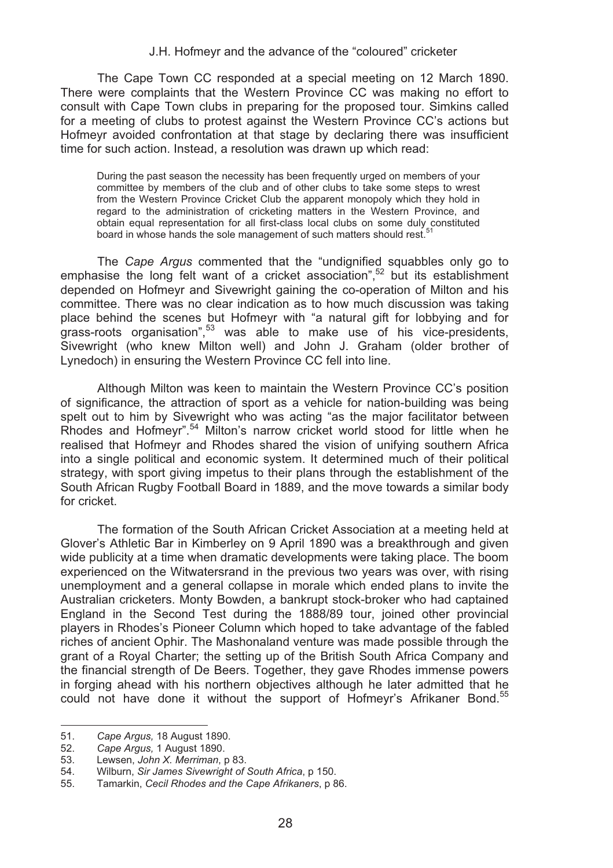The Cape Town CC responded at a special meeting on 12 March 1890. There were complaints that the Western Province CC was making no effort to consult with Cape Town clubs in preparing for the proposed tour. Simkins called for a meeting of clubs to protest against the Western Province CC's actions but Hofmeyr avoided confrontation at that stage by declaring there was insufficient time for such action. Instead, a resolution was drawn up which read:

During the past season the necessity has been frequently urged on members of your committee by members of the club and of other clubs to take some steps to wrest from the Western Province Cricket Club the apparent monopoly which they hold in regard to the administration of cricketing matters in the Western Province, and obtain equal representation for all first-class local clubs on some duly constituted board in whose hands the sole management of such matters should rest.<sup>5</sup>

The *Cape Argus* commented that the "undignified squabbles only go to emphasise the long felt want of a cricket association",<sup>52</sup> but its establishment depended on Hofmeyr and Sivewright gaining the co-operation of Milton and his committee. There was no clear indication as to how much discussion was taking place behind the scenes but Hofmeyr with "a natural gift for lobbying and for grass-roots organisation",<sup>53</sup> was able to make use of his vice-presidents, Sivewright (who knew Milton well) and John J. Graham (older brother of Lynedoch) in ensuring the Western Province CC fell into line.

Although Milton was keen to maintain the Western Province CC's position of significance, the attraction of sport as a vehicle for nation-building was being spelt out to him by Sivewright who was acting "as the major facilitator between Rhodes and Hofmeyr".54 Milton's narrow cricket world stood for little when he realised that Hofmeyr and Rhodes shared the vision of unifying southern Africa into a single political and economic system. It determined much of their political strategy, with sport giving impetus to their plans through the establishment of the South African Rugby Football Board in 1889, and the move towards a similar body for cricket.

The formation of the South African Cricket Association at a meeting held at Glover's Athletic Bar in Kimberley on 9 April 1890 was a breakthrough and given wide publicity at a time when dramatic developments were taking place. The boom experienced on the Witwatersrand in the previous two years was over, with rising unemployment and a general collapse in morale which ended plans to invite the Australian cricketers. Monty Bowden, a bankrupt stock-broker who had captained England in the Second Test during the 1888/89 tour, joined other provincial players in Rhodes's Pioneer Column which hoped to take advantage of the fabled riches of ancient Ophir. The Mashonaland venture was made possible through the grant of a Royal Charter; the setting up of the British South Africa Company and the financial strength of De Beers. Together, they gave Rhodes immense powers in forging ahead with his northern objectives although he later admitted that he could not have done it without the support of Hofmeyr's Afrikaner Bond.<sup>55</sup>

<sup>51.</sup> *Cape Argus,* 18 August 1890.

<sup>52.</sup> *Cape Argus,* 1 August 1890.

<sup>53.</sup> Lewsen, *John X. Merriman*, p 83.

<sup>54.</sup> Wilburn, *Sir James Sivewright of South Africa*, p 150.

<sup>55.</sup> Tamarkin, *Cecil Rhodes and the Cape Afrikaners*, p 86.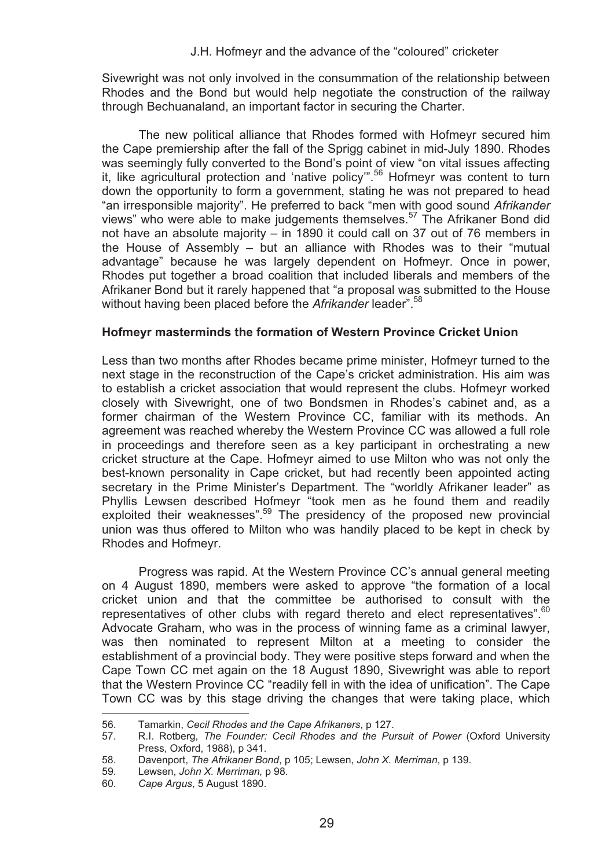Sivewright was not only involved in the consummation of the relationship between Rhodes and the Bond but would help negotiate the construction of the railway through Bechuanaland, an important factor in securing the Charter.

The new political alliance that Rhodes formed with Hofmeyr secured him the Cape premiership after the fall of the Sprigg cabinet in mid-July 1890. Rhodes was seemingly fully converted to the Bond's point of view "on vital issues affecting it, like agricultural protection and 'native policy'".56 Hofmeyr was content to turn down the opportunity to form a government, stating he was not prepared to head "an irresponsible majority". He preferred to back "men with good sound *Afrikander* views" who were able to make judgements themselves.57 The Afrikaner Bond did not have an absolute majority – in 1890 it could call on 37 out of 76 members in the House of Assembly – but an alliance with Rhodes was to their "mutual advantage" because he was largely dependent on Hofmeyr. Once in power, Rhodes put together a broad coalition that included liberals and members of the Afrikaner Bond but it rarely happened that "a proposal was submitted to the House without having been placed before the *Afrikander* leader".<sup>58</sup>

#### **Hofmeyr masterminds the formation of Western Province Cricket Union**

Less than two months after Rhodes became prime minister, Hofmeyr turned to the next stage in the reconstruction of the Cape's cricket administration. His aim was to establish a cricket association that would represent the clubs. Hofmeyr worked closely with Sivewright, one of two Bondsmen in Rhodes's cabinet and, as a former chairman of the Western Province CC, familiar with its methods. An agreement was reached whereby the Western Province CC was allowed a full role in proceedings and therefore seen as a key participant in orchestrating a new cricket structure at the Cape. Hofmeyr aimed to use Milton who was not only the best-known personality in Cape cricket, but had recently been appointed acting secretary in the Prime Minister's Department. The "worldly Afrikaner leader" as Phyllis Lewsen described Hofmeyr "took men as he found them and readily exploited their weaknesses".<sup>59</sup> The presidency of the proposed new provincial union was thus offered to Milton who was handily placed to be kept in check by Rhodes and Hofmeyr.

Progress was rapid. At the Western Province CC's annual general meeting on 4 August 1890, members were asked to approve "the formation of a local cricket union and that the committee be authorised to consult with the representatives of other clubs with regard thereto and elect representatives". $60$ Advocate Graham, who was in the process of winning fame as a criminal lawyer, was then nominated to represent Milton at a meeting to consider the establishment of a provincial body. They were positive steps forward and when the Cape Town CC met again on the 18 August 1890, Sivewright was able to report that the Western Province CC "readily fell in with the idea of unification". The Cape Town CC was by this stage driving the changes that were taking place, which l

<sup>56.</sup> Tamarkin, *Cecil Rhodes and the Cape Afrikaners*, p 127.

<sup>57.</sup> R.I. Rotberg, *The Founder: Cecil Rhodes and the Pursuit of Power* (Oxford University Press, Oxford, 1988), p 341.

<sup>58.</sup> Davenport, *The Afrikaner Bond*, p 105; Lewsen, *John X. Merriman*, p 139.

<sup>59.</sup> Lewsen, *John X. Merriman,* p 98.

<sup>60.</sup> *Cape Argus*, 5 August 1890.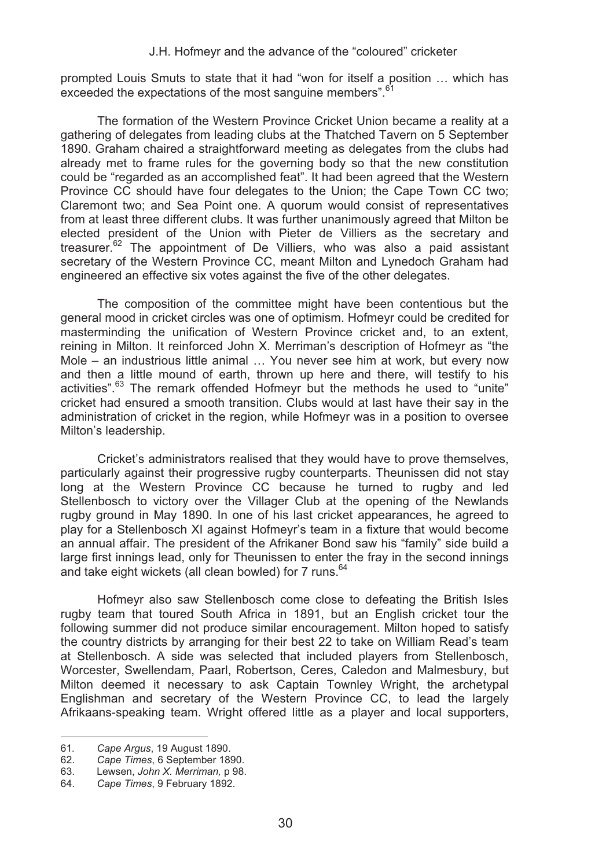prompted Louis Smuts to state that it had "won for itself a position … which has exceeded the expectations of the most sanguine members".<sup>6</sup>

The formation of the Western Province Cricket Union became a reality at a gathering of delegates from leading clubs at the Thatched Tavern on 5 September 1890. Graham chaired a straightforward meeting as delegates from the clubs had already met to frame rules for the governing body so that the new constitution could be "regarded as an accomplished feat". It had been agreed that the Western Province CC should have four delegates to the Union; the Cape Town CC two; Claremont two; and Sea Point one. A quorum would consist of representatives from at least three different clubs. It was further unanimously agreed that Milton be elected president of the Union with Pieter de Villiers as the secretary and treasurer.<sup>62</sup> The appointment of De Villiers, who was also a paid assistant secretary of the Western Province CC, meant Milton and Lynedoch Graham had engineered an effective six votes against the five of the other delegates.

The composition of the committee might have been contentious but the general mood in cricket circles was one of optimism. Hofmeyr could be credited for masterminding the unification of Western Province cricket and, to an extent, reining in Milton. It reinforced John X. Merriman's description of Hofmeyr as "the Mole – an industrious little animal … You never see him at work, but every now and then a little mound of earth, thrown up here and there, will testify to his activities".<sup>63</sup> The remark offended Hofmeyr but the methods he used to "unite" cricket had ensured a smooth transition. Clubs would at last have their say in the administration of cricket in the region, while Hofmeyr was in a position to oversee Milton's leadership.

Cricket's administrators realised that they would have to prove themselves, particularly against their progressive rugby counterparts. Theunissen did not stay long at the Western Province CC because he turned to rugby and led Stellenbosch to victory over the Villager Club at the opening of the Newlands rugby ground in May 1890. In one of his last cricket appearances, he agreed to play for a Stellenbosch XI against Hofmeyr's team in a fixture that would become an annual affair. The president of the Afrikaner Bond saw his "family" side build a large first innings lead, only for Theunissen to enter the fray in the second innings and take eight wickets (all clean bowled) for 7 runs. $64$ 

Hofmeyr also saw Stellenbosch come close to defeating the British Isles rugby team that toured South Africa in 1891, but an English cricket tour the following summer did not produce similar encouragement. Milton hoped to satisfy the country districts by arranging for their best 22 to take on William Read's team at Stellenbosch. A side was selected that included players from Stellenbosch, Worcester, Swellendam, Paarl, Robertson, Ceres, Caledon and Malmesbury, but Milton deemed it necessary to ask Captain Townley Wright, the archetypal Englishman and secretary of the Western Province CC, to lead the largely Afrikaans-speaking team. Wright offered little as a player and local supporters,

 $\overline{a}$ 

<sup>61</sup>*. Cape Argus*, 19 August 1890.

<sup>62.</sup> *Cape Times*, 6 September 1890.

<sup>63.</sup> Lewsen, *John X. Merriman,* p 98.

<sup>64.</sup> *Cape Times*, 9 February 1892.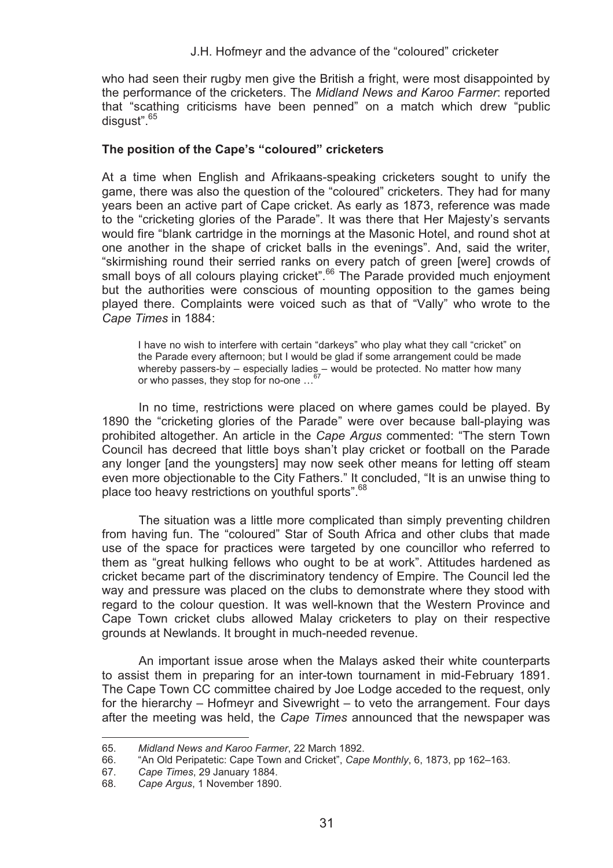who had seen their rugby men give the British a fright, were most disappointed by the performance of the cricketers. The *Midland News and Karoo Farmer*: reported that "scathing criticisms have been penned" on a match which drew "public disgust".<sup>65</sup>

#### **The position of the Cape's "coloured" cricketers**

At a time when English and Afrikaans-speaking cricketers sought to unify the game, there was also the question of the "coloured" cricketers. They had for many years been an active part of Cape cricket. As early as 1873, reference was made to the "cricketing glories of the Parade". It was there that Her Majesty's servants would fire "blank cartridge in the mornings at the Masonic Hotel, and round shot at one another in the shape of cricket balls in the evenings". And, said the writer, "skirmishing round their serried ranks on every patch of green [were] crowds of small boys of all colours playing cricket".<sup>66</sup> The Parade provided much enjoyment but the authorities were conscious of mounting opposition to the games being played there. Complaints were voiced such as that of "Vally" who wrote to the *Cape Times* in 1884:

I have no wish to interfere with certain "darkeys" who play what they call "cricket" on the Parade every afternoon; but I would be glad if some arrangement could be made whereby passers-by – especially ladies – would be protected. No matter how many or who passes, they stop for no-one …67

In no time, restrictions were placed on where games could be played. By 1890 the "cricketing glories of the Parade" were over because ball-playing was prohibited altogether. An article in the *Cape Argus* commented: "The stern Town Council has decreed that little boys shan't play cricket or football on the Parade any longer [and the youngsters] may now seek other means for letting off steam even more objectionable to the City Fathers." It concluded, "It is an unwise thing to place too heavy restrictions on youthful sports".68

The situation was a little more complicated than simply preventing children from having fun. The "coloured" Star of South Africa and other clubs that made use of the space for practices were targeted by one councillor who referred to them as "great hulking fellows who ought to be at work". Attitudes hardened as cricket became part of the discriminatory tendency of Empire. The Council led the way and pressure was placed on the clubs to demonstrate where they stood with regard to the colour question. It was well-known that the Western Province and Cape Town cricket clubs allowed Malay cricketers to play on their respective grounds at Newlands. It brought in much-needed revenue.

An important issue arose when the Malays asked their white counterparts to assist them in preparing for an inter-town tournament in mid-February 1891. The Cape Town CC committee chaired by Joe Lodge acceded to the request, only for the hierarchy – Hofmeyr and Sivewright – to veto the arrangement. Four days after the meeting was held, the *Cape Times* announced that the newspaper was

l

<sup>65.</sup> *Midland News and Karoo Farmer*, 22 March 1892.

<sup>66. &</sup>quot;An Old Peripatetic: Cape Town and Cricket", *Cape Monthly*, 6, 1873, pp 162–163.

<sup>67.</sup> *Cape Times*, 29 January 1884.

<sup>68.</sup> *Cape Argus*, 1 November 1890.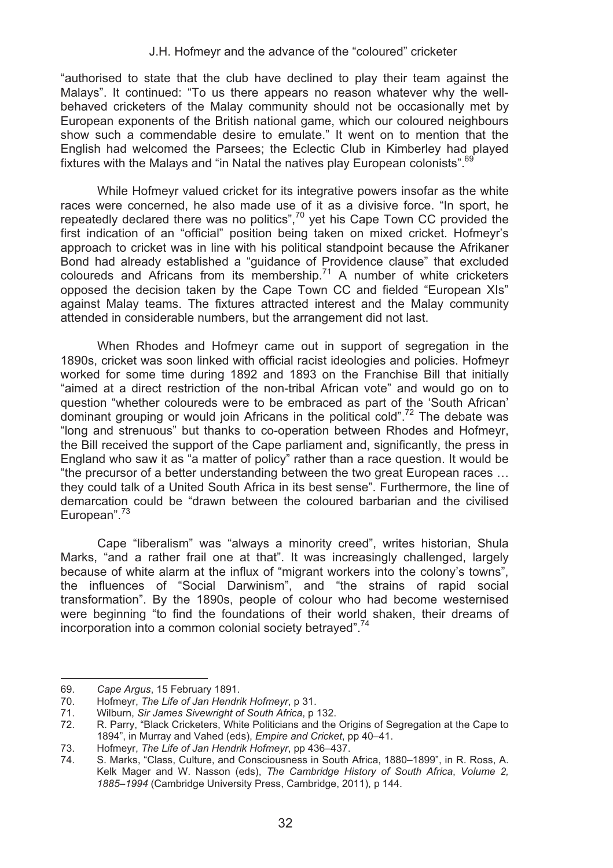"authorised to state that the club have declined to play their team against the Malays". It continued: "To us there appears no reason whatever why the wellbehaved cricketers of the Malay community should not be occasionally met by European exponents of the British national game, which our coloured neighbours show such a commendable desire to emulate." It went on to mention that the English had welcomed the Parsees; the Eclectic Club in Kimberley had played fixtures with the Malays and "in Natal the natives play European colonists".<sup>69</sup>

While Hofmeyr valued cricket for its integrative powers insofar as the white races were concerned, he also made use of it as a divisive force. "In sport, he repeatedly declared there was no politics", $70$  yet his Cape Town CC provided the first indication of an "official" position being taken on mixed cricket. Hofmeyr's approach to cricket was in line with his political standpoint because the Afrikaner Bond had already established a "guidance of Providence clause" that excluded coloureds and Africans from its membership.<sup>71</sup> A number of white cricketers opposed the decision taken by the Cape Town CC and fielded "European XIs" against Malay teams. The fixtures attracted interest and the Malay community attended in considerable numbers, but the arrangement did not last.

When Rhodes and Hofmeyr came out in support of segregation in the 1890s, cricket was soon linked with official racist ideologies and policies. Hofmeyr worked for some time during 1892 and 1893 on the Franchise Bill that initially "aimed at a direct restriction of the non-tribal African vote" and would go on to question "whether coloureds were to be embraced as part of the 'South African' dominant grouping or would join Africans in the political cold".<sup>72</sup> The debate was "long and strenuous" but thanks to co-operation between Rhodes and Hofmeyr, the Bill received the support of the Cape parliament and, significantly, the press in England who saw it as "a matter of policy" rather than a race question. It would be "the precursor of a better understanding between the two great European races … they could talk of a United South Africa in its best sense". Furthermore, the line of demarcation could be "drawn between the coloured barbarian and the civilised European".<sup>73</sup>

Cape "liberalism" was "always a minority creed", writes historian, Shula Marks, "and a rather frail one at that". It was increasingly challenged, largely because of white alarm at the influx of "migrant workers into the colony's towns", the influences of "Social Darwinism", and "the strains of rapid social transformation". By the 1890s, people of colour who had become westernised were beginning "to find the foundations of their world shaken, their dreams of incorporation into a common colonial society betraved".<sup>74</sup>

<sup>69.</sup> *Cape Argus*, 15 February 1891.

<sup>70.</sup> Hofmeyr, *The Life of Jan Hendrik Hofmeyr*, p 31.

<sup>71.</sup> Wilburn, *Sir James Sivewright of South Africa*, p 132.

<sup>72.</sup> R. Parry, "Black Cricketers, White Politicians and the Origins of Segregation at the Cape to 1894", in Murray and Vahed (eds), *Empire and Cricket*, pp 40–41.

<sup>73.</sup> Hofmeyr, *The Life of Jan Hendrik Hofmeyr*, pp 436–437.

<sup>74.</sup> S. Marks, "Class, Culture, and Consciousness in South Africa, 1880–1899", in R. Ross, A. Kelk Mager and W. Nasson (eds), *The Cambridge History of South Africa*, *Volume 2, 1885*–*1994* (Cambridge University Press, Cambridge, 2011), p 144.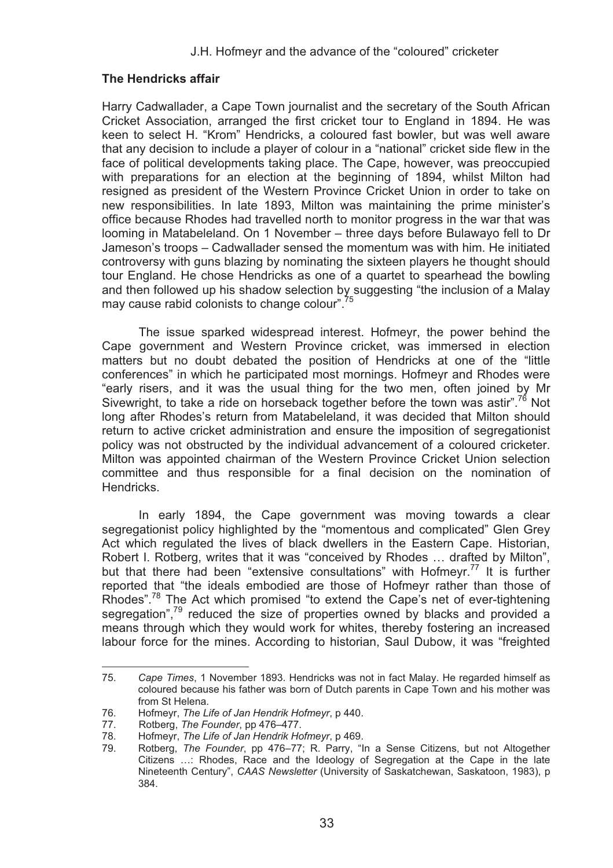## **The Hendricks affair**

Harry Cadwallader, a Cape Town journalist and the secretary of the South African Cricket Association, arranged the first cricket tour to England in 1894. He was keen to select H. "Krom" Hendricks, a coloured fast bowler, but was well aware that any decision to include a player of colour in a "national" cricket side flew in the face of political developments taking place. The Cape, however, was preoccupied with preparations for an election at the beginning of 1894, whilst Milton had resigned as president of the Western Province Cricket Union in order to take on new responsibilities. In late 1893, Milton was maintaining the prime minister's office because Rhodes had travelled north to monitor progress in the war that was looming in Matabeleland. On 1 November – three days before Bulawayo fell to Dr Jameson's troops – Cadwallader sensed the momentum was with him. He initiated controversy with guns blazing by nominating the sixteen players he thought should tour England. He chose Hendricks as one of a quartet to spearhead the bowling and then followed up his shadow selection by suggesting "the inclusion of a Malay may cause rabid colonists to change colour".<sup>75</sup>

The issue sparked widespread interest. Hofmeyr, the power behind the Cape government and Western Province cricket, was immersed in election matters but no doubt debated the position of Hendricks at one of the "little conferences" in which he participated most mornings. Hofmeyr and Rhodes were "early risers, and it was the usual thing for the two men, often joined by Mr Sivewright, to take a ride on horseback together before the town was astir".<sup>76</sup> Not long after Rhodes's return from Matabeleland, it was decided that Milton should return to active cricket administration and ensure the imposition of segregationist policy was not obstructed by the individual advancement of a coloured cricketer. Milton was appointed chairman of the Western Province Cricket Union selection committee and thus responsible for a final decision on the nomination of Hendricks.

In early 1894, the Cape government was moving towards a clear segregationist policy highlighted by the "momentous and complicated" Glen Grey Act which regulated the lives of black dwellers in the Eastern Cape. Historian, Robert I. Rotberg, writes that it was "conceived by Rhodes … drafted by Milton", but that there had been "extensive consultations" with Hofmeyr.<sup>77</sup> It is further reported that "the ideals embodied are those of Hofmeyr rather than those of Rhodes".<sup>78</sup> The Act which promised "to extend the Cape's net of ever-tightening segregation",79 reduced the size of properties owned by blacks and provided a means through which they would work for whites, thereby fostering an increased labour force for the mines. According to historian, Saul Dubow, it was "freighted

l

<sup>75.</sup> *Cape Times*, 1 November 1893. Hendricks was not in fact Malay. He regarded himself as coloured because his father was born of Dutch parents in Cape Town and his mother was from St Helena.

<sup>76.</sup> Hofmeyr, *The Life of Jan Hendrik Hofmeyr*, p 440.

<sup>77.</sup> Rotberg, *The Founder*, pp 476–477.

<sup>78.</sup> Hofmeyr, *The Life of Jan Hendrik Hofmeyr*, p 469.

<sup>79.</sup> Rotberg, *The Founder*, pp 476–77; R. Parry, "In a Sense Citizens, but not Altogether Citizens …: Rhodes, Race and the Ideology of Segregation at the Cape in the late Nineteenth Century", *CAAS Newsletter* (University of Saskatchewan, Saskatoon, 1983), p 384.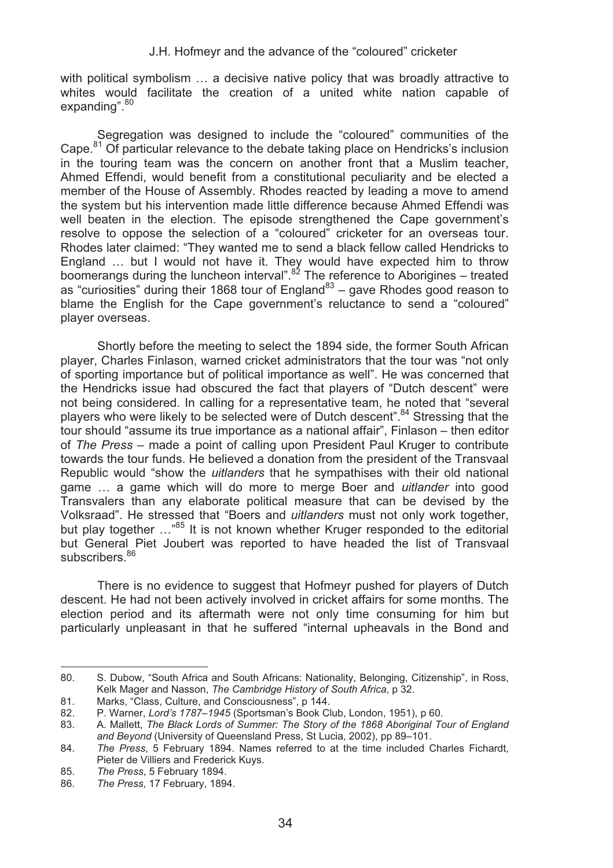with political symbolism … a decisive native policy that was broadly attractive to whites would facilitate the creation of a united white nation capable of expanding".<sup>80</sup>

Segregation was designed to include the "coloured" communities of the Cape.<sup>81</sup> Of particular relevance to the debate taking place on Hendricks's inclusion in the touring team was the concern on another front that a Muslim teacher, Ahmed Effendi, would benefit from a constitutional peculiarity and be elected a member of the House of Assembly. Rhodes reacted by leading a move to amend the system but his intervention made little difference because Ahmed Effendi was well beaten in the election. The episode strengthened the Cape government's resolve to oppose the selection of a "coloured" cricketer for an overseas tour. Rhodes later claimed: "They wanted me to send a black fellow called Hendricks to England ... but I would not have it. They would have expected him to throw boomerangs during the luncheon interval".<sup>82</sup> The reference to Aborigines – treated as "curiosities" during their 1868 tour of England $^{83}$  – gave Rhodes good reason to blame the English for the Cape government's reluctance to send a "coloured" player overseas.

Shortly before the meeting to select the 1894 side, the former South African player, Charles Finlason, warned cricket administrators that the tour was "not only of sporting importance but of political importance as well". He was concerned that the Hendricks issue had obscured the fact that players of "Dutch descent" were not being considered. In calling for a representative team, he noted that "several players who were likely to be selected were of Dutch descent".<sup>84</sup> Stressing that the tour should "assume its true importance as a national affair", Finlason – then editor of *The Press* – made a point of calling upon President Paul Kruger to contribute towards the tour funds. He believed a donation from the president of the Transvaal Republic would "show the *uitlanders* that he sympathises with their old national game … a game which will do more to merge Boer and *uitlander* into good Transvalers than any elaborate political measure that can be devised by the Volksraad". He stressed that "Boers and *uitlanders* must not only work together, but play together ...<sup>85</sup> It is not known whether Kruger responded to the editorial but General Piet Joubert was reported to have headed the list of Transvaal subscribers.<sup>86</sup>

There is no evidence to suggest that Hofmeyr pushed for players of Dutch descent. He had not been actively involved in cricket affairs for some months. The election period and its aftermath were not only time consuming for him but particularly unpleasant in that he suffered "internal upheavals in the Bond and

<sup>80.</sup> S. Dubow, "South Africa and South Africans: Nationality, Belonging, Citizenship", in Ross, Kelk Mager and Nasson, *The Cambridge History of South Africa*, p 32.

<sup>81.</sup> Marks, "Class, Culture, and Consciousness", p 144.<br>82. P. Warner. *Lord's 1787–1945 (Sportsman's Book Cl* 

<sup>82.</sup> P. Warner, *Lord's 1787*–*1945* (Sportsman's Book Club, London, 1951), p 60.

<sup>83.</sup> A. Mallett, *The Black Lords of Summer: The Story of the 1868 Aboriginal Tour of England and Beyond* (University of Queensland Press, St Lucia, 2002), pp 89–101.

<sup>84.</sup> *The Press*, 5 February 1894. Names referred to at the time included Charles Fichardt, Pieter de Villiers and Frederick Kuys.

<sup>85.</sup> *The Press*, 5 February 1894.

<sup>86.</sup> *The Press,* 17 February, 1894.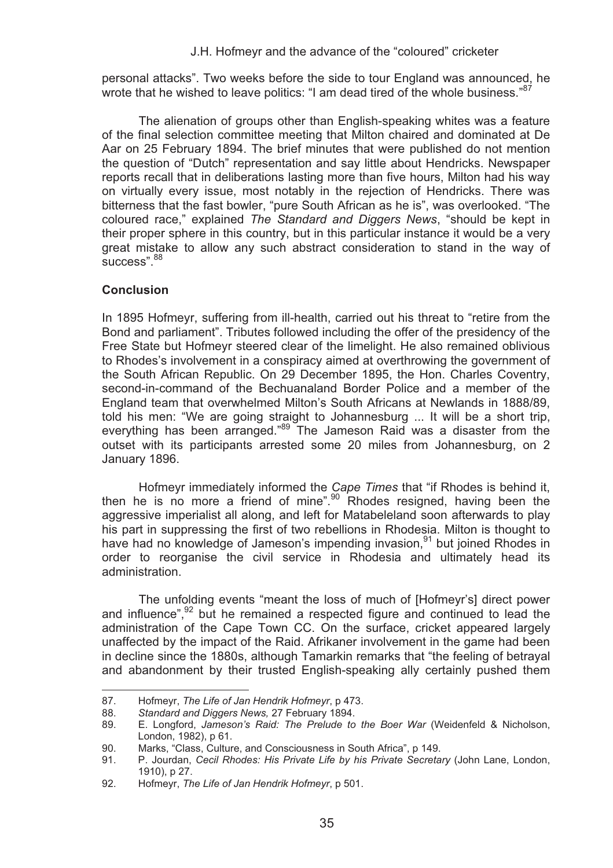personal attacks". Two weeks before the side to tour England was announced, he wrote that he wished to leave politics: "I am dead tired of the whole business."<sup>87</sup>

The alienation of groups other than English-speaking whites was a feature of the final selection committee meeting that Milton chaired and dominated at De Aar on 25 February 1894. The brief minutes that were published do not mention the question of "Dutch" representation and say little about Hendricks. Newspaper reports recall that in deliberations lasting more than five hours, Milton had his way on virtually every issue, most notably in the rejection of Hendricks. There was bitterness that the fast bowler, "pure South African as he is", was overlooked. "The coloured race," explained *The Standard and Diggers News*, "should be kept in their proper sphere in this country, but in this particular instance it would be a very great mistake to allow any such abstract consideration to stand in the way of  $s$ uccess".  $88$ 

## **Conclusion**

l

In 1895 Hofmeyr, suffering from ill-health, carried out his threat to "retire from the Bond and parliament". Tributes followed including the offer of the presidency of the Free State but Hofmeyr steered clear of the limelight. He also remained oblivious to Rhodes's involvement in a conspiracy aimed at overthrowing the government of the South African Republic. On 29 December 1895, the Hon. Charles Coventry, second-in-command of the Bechuanaland Border Police and a member of the England team that overwhelmed Milton's South Africans at Newlands in 1888/89, told his men: "We are going straight to Johannesburg ... It will be a short trip, everything has been arranged."<sup>89</sup> The Jameson Raid was a disaster from the outset with its participants arrested some 20 miles from Johannesburg, on 2 January 1896.

Hofmeyr immediately informed the *Cape Times* that "if Rhodes is behind it, then he is no more a friend of mine".<sup>90</sup> Rhodes resigned, having been the aggressive imperialist all along, and left for Matabeleland soon afterwards to play his part in suppressing the first of two rebellions in Rhodesia. Milton is thought to have had no knowledge of Jameson's impending invasion,<sup>91</sup> but joined Rhodes in order to reorganise the civil service in Rhodesia and ultimately head its administration.

The unfolding events "meant the loss of much of [Hofmeyr's] direct power and influence",<sup>92</sup> but he remained a respected figure and continued to lead the administration of the Cape Town CC. On the surface, cricket appeared largely unaffected by the impact of the Raid. Afrikaner involvement in the game had been in decline since the 1880s, although Tamarkin remarks that "the feeling of betrayal and abandonment by their trusted English-speaking ally certainly pushed them

<sup>87.</sup> Hofmeyr, *The Life of Jan Hendrik Hofmeyr*, p 473.

<sup>88.</sup> *Standard and Diggers News,* 27 February 1894.

<sup>89.</sup> E. Longford, *Jameson's Raid: The Prelude to the Boer War* (Weidenfeld & Nicholson, London, 1982), p 61.

<sup>90.</sup> Marks, "Class, Culture, and Consciousness in South Africa", p 149.<br>91. P. Jourdan, Cecil Rhodes: His Private Life by his Private Secreta

<sup>91.</sup> P. Jourdan, *Cecil Rhodes: His Private Life by his Private Secretary* (John Lane, London, 1910), p 27.

<sup>92.</sup> Hofmeyr, *The Life of Jan Hendrik Hofmeyr*, p 501.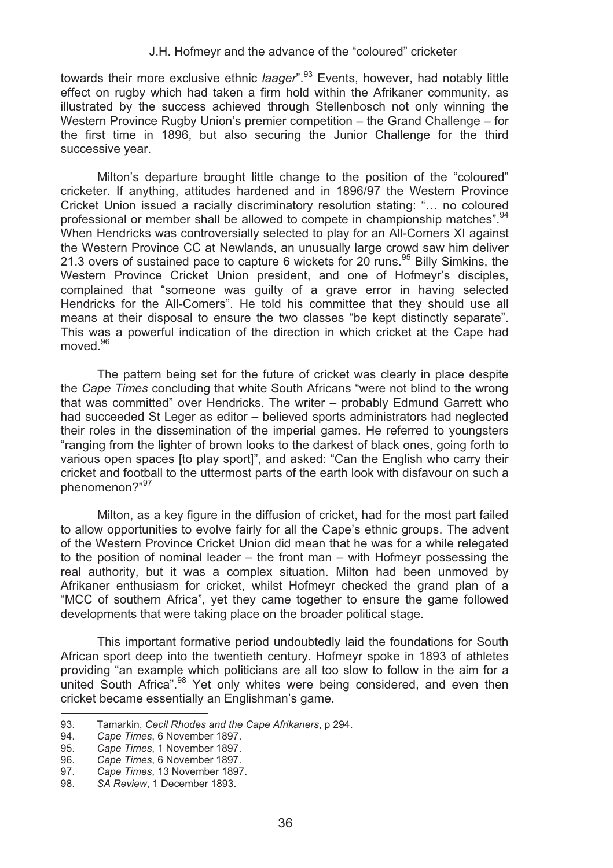towards their more exclusive ethnic *laager*".<sup>93</sup> Events, however, had notably little effect on rugby which had taken a firm hold within the Afrikaner community, as illustrated by the success achieved through Stellenbosch not only winning the Western Province Rugby Union's premier competition – the Grand Challenge – for the first time in 1896, but also securing the Junior Challenge for the third successive year.

Milton's departure brought little change to the position of the "coloured" cricketer. If anything, attitudes hardened and in 1896/97 the Western Province Cricket Union issued a racially discriminatory resolution stating: "… no coloured professional or member shall be allowed to compete in championship matches".<sup>94</sup> When Hendricks was controversially selected to play for an All-Comers XI against the Western Province CC at Newlands, an unusually large crowd saw him deliver 21.3 overs of sustained pace to capture 6 wickets for 20 runs.<sup>95</sup> Billy Simkins, the Western Province Cricket Union president, and one of Hofmeyr's disciples, complained that "someone was guilty of a grave error in having selected Hendricks for the All-Comers". He told his committee that they should use all means at their disposal to ensure the two classes "be kept distinctly separate". This was a powerful indication of the direction in which cricket at the Cape had moved.<sup>96</sup>

The pattern being set for the future of cricket was clearly in place despite the *Cape Times* concluding that white South Africans "were not blind to the wrong that was committed" over Hendricks. The writer – probably Edmund Garrett who had succeeded St Leger as editor – believed sports administrators had neglected their roles in the dissemination of the imperial games. He referred to youngsters "ranging from the lighter of brown looks to the darkest of black ones, going forth to various open spaces [to play sport]", and asked: "Can the English who carry their cricket and football to the uttermost parts of the earth look with disfavour on such a phenomenon?"<sup>97</sup>

Milton, as a key figure in the diffusion of cricket, had for the most part failed to allow opportunities to evolve fairly for all the Cape's ethnic groups. The advent of the Western Province Cricket Union did mean that he was for a while relegated to the position of nominal leader – the front man – with Hofmeyr possessing the real authority, but it was a complex situation. Milton had been unmoved by Afrikaner enthusiasm for cricket, whilst Hofmeyr checked the grand plan of a "MCC of southern Africa", yet they came together to ensure the game followed developments that were taking place on the broader political stage.

This important formative period undoubtedly laid the foundations for South African sport deep into the twentieth century. Hofmeyr spoke in 1893 of athletes providing "an example which politicians are all too slow to follow in the aim for a united South Africa<sup>" 98</sup> Yet only whites were being considered, and even then cricket became essentially an Englishman's game. .

<sup>93.</sup> Tamarkin, *Cecil Rhodes and the Cape Afrikaners*, p 294.

<sup>94.</sup> *Cape Times*, 6 November 1897.

<sup>95.</sup> *Cape Times*, 1 November 1897.

<sup>96.</sup> *Cape Times*, 6 November 1897.

<sup>97.</sup> *Cape Times*, 13 November 1897.

<sup>98.</sup> *SA Review*, 1 December 1893.